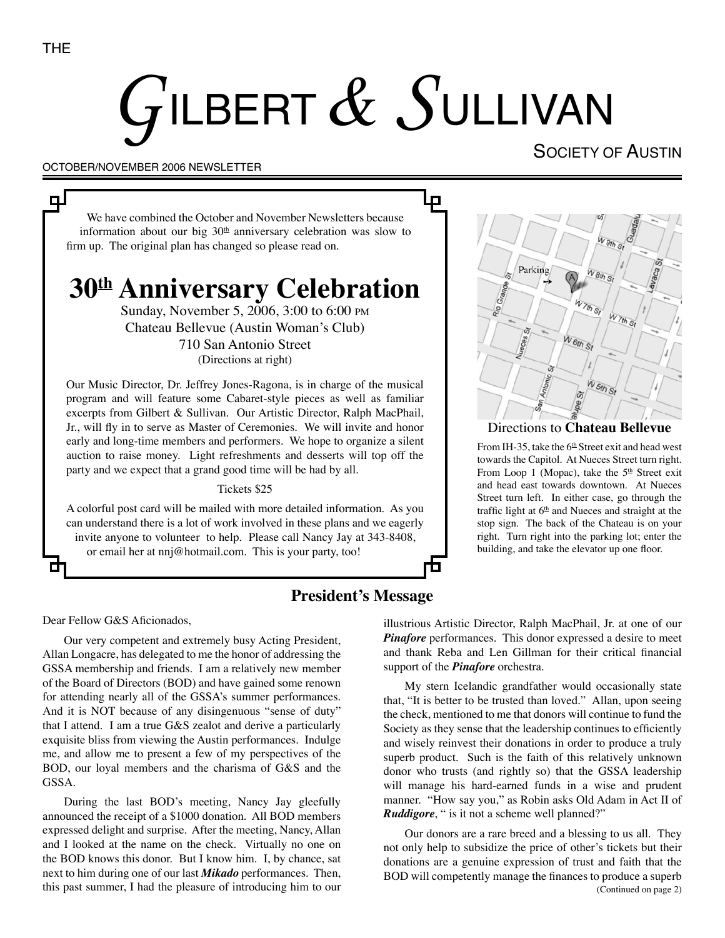цJ

# $G$ ILBERT $\,\mathscr{L}\,$   $S$ ullivan

Д

Ð

#### OCTOBER/NOVEMBER 2006 NEWSLETTER

# SOCIETY OF AUSTIN

We have combined the October and November Newsletters because information about our big  $30<sup>th</sup>$  anniversary celebration was slow to firm up. The original plan has changed so please read on.

# **30th Anniversary Celebration**

Sunday, November 5, 2006, 3:00 to 6:00 PM Chateau Bellevue (Austin Woman's Club) 710 San Antonio Street (Directions at right)

Our Music Director, Dr. Jeffrey Jones-Ragona, is in charge of the musical program and will feature some Cabaret-style pieces as well as familiar excerpts from Gilbert & Sullivan. Our Artistic Director, Ralph MacPhail, Jr., will fly in to serve as Master of Ceremonies. We will invite and honor early and long-time members and performers. We hope to organize a silent auction to raise money. Light refreshments and desserts will top off the party and we expect that a grand good time will be had by all.

#### Tickets \$25

A colorful post card will be mailed with more detailed information. As you can understand there is a lot of work involved in these plans and we eagerly invite anyone to volunteer to help. Please call Nancy Jay at 343-8408, or email her at nnj@hotmail.com. This is your party, too!



#### Directions to **Chateau Bellevue**

From IH-35, take the  $6<sup>th</sup>$  Street exit and head west towards the Capitol. At Nueces Street turn right. From Loop 1 (Mopac), take the 5<sup>th</sup> Street exit and head east towards downtown. At Nueces Street turn left. In either case, go through the traffic light at  $6<sup>th</sup>$  and Nueces and straight at the stop sign. The back of the Chateau is on your right. Turn right into the parking lot; enter the building, and take the elevator up one floor.

## **President's Message**

Dear Fellow G&S Aficionados,

Our very competent and extremely busy Acting President, Allan Longacre, has delegated to me the honor of addressing the GSSA membership and friends. I am a relatively new member of the Board of Directors (BOD) and have gained some renown for attending nearly all of the GSSA's summer performances. And it is NOT because of any disingenuous "sense of duty" that I attend. I am a true G&S zealot and derive a particularly exquisite bliss from viewing the Austin performances. Indulge me, and allow me to present a few of my perspectives of the BOD, our loyal members and the charisma of G&S and the GSSA.

During the last BOD's meeting, Nancy Jay gleefully announced the receipt of a \$1000 donation. All BOD members expressed delight and surprise. After the meeting, Nancy, Allan and I looked at the name on the check. Virtually no one on the BOD knows this donor. But I know him. I, by chance, sat next to him during one of our last *Mikado* performances. Then, this past summer, I had the pleasure of introducing him to our illustrious Artistic Director, Ralph MacPhail, Jr. at one of our *Pinafore* performances. This donor expressed a desire to meet and thank Reba and Len Gillman for their critical financial support of the *Pinafore* orchestra.

My stern Icelandic grandfather would occasionally state that, "It is better to be trusted than loved." Allan, upon seeing the check, mentioned to me that donors will continue to fund the Society as they sense that the leadership continues to efficiently and wisely reinvest their donations in order to produce a truly superb product. Such is the faith of this relatively unknown donor who trusts (and rightly so) that the GSSA leadership will manage his hard-earned funds in a wise and prudent manner. "How say you," as Robin asks Old Adam in Act II of *Ruddigore*, " is it not a scheme well planned?"

(Continued on page 2) Our donors are a rare breed and a blessing to us all. They not only help to subsidize the price of other's tickets but their donations are a genuine expression of trust and faith that the BOD will competently manage the finances to produce a superb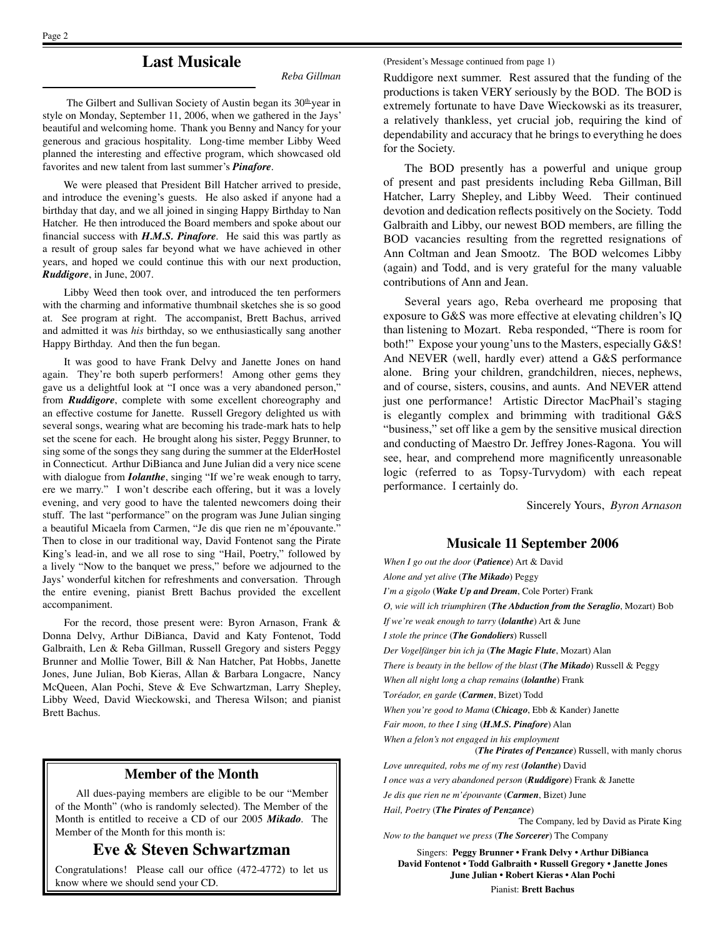(President's Message continued from page 1)

## **Last Musicale**

*Reba Gillman*

The Gilbert and Sullivan Society of Austin began its 30<sup>th</sup> year in style on Monday, September 11, 2006, when we gathered in the Jays' beautiful and welcoming home. Thank you Benny and Nancy for your generous and gracious hospitality. Long-time member Libby Weed planned the interesting and effective program, which showcased old favorites and new talent from last summer's *Pinafore*.

We were pleased that President Bill Hatcher arrived to preside, and introduce the evening's guests. He also asked if anyone had a birthday that day, and we all joined in singing Happy Birthday to Nan Hatcher. He then introduced the Board members and spoke about our financial success with *H.M.S. Pinafore*. He said this was partly as a result of group sales far beyond what we have achieved in other years, and hoped we could continue this with our next production, *Ruddigore*, in June, 2007.

Libby Weed then took over, and introduced the ten performers with the charming and informative thumbnail sketches she is so good at. See program at right. The accompanist, Brett Bachus, arrived and admitted it was *his* birthday, so we enthusiastically sang another Happy Birthday. And then the fun began.

It was good to have Frank Delvy and Janette Jones on hand again. They're both superb performers! Among other gems they gave us a delightful look at "I once was a very abandoned person," from *Ruddigore*, complete with some excellent choreography and an effective costume for Janette. Russell Gregory delighted us with several songs, wearing what are becoming his trade-mark hats to help set the scene for each. He brought along his sister, Peggy Brunner, to sing some of the songs they sang during the summer at the ElderHostel in Connecticut. Arthur DiBianca and June Julian did a very nice scene with dialogue from *Iolanthe*, singing "If we're weak enough to tarry, ere we marry." I won't describe each offering, but it was a lovely evening, and very good to have the talented newcomers doing their stuff. The last "performance" on the program was June Julian singing a beautiful Micaela from Carmen, "Je dis que rien ne m'épouvante." Then to close in our traditional way, David Fontenot sang the Pirate King's lead-in, and we all rose to sing "Hail, Poetry," followed by a lively "Now to the banquet we press," before we adjourned to the Jays' wonderful kitchen for refreshments and conversation. Through the entire evening, pianist Brett Bachus provided the excellent accompaniment.

For the record, those present were: Byron Arnason, Frank & Donna Delvy, Arthur DiBianca, David and Katy Fontenot, Todd Galbraith, Len & Reba Gillman, Russell Gregory and sisters Peggy Brunner and Mollie Tower, Bill & Nan Hatcher, Pat Hobbs, Janette Jones, June Julian, Bob Kieras, Allan & Barbara Longacre, Nancy McQueen, Alan Pochi, Steve & Eve Schwartzman, Larry Shepley, Libby Weed, David Wieckowski, and Theresa Wilson; and pianist Brett Bachus.

#### **Member of the Month**

All dues-paying members are eligible to be our "Member of the Month" (who is randomly selected). The Member of the Month is entitled to receive a CD of our 2005 *Mikado*. The Member of the Month for this month is:

#### **Eve & Steven Schwartzman**

Congratulations! Please call our office (472-4772) to let us know where we should send your CD.

Ruddigore next summer. Rest assured that the funding of the productions is taken VERY seriously by the BOD. The BOD is extremely fortunate to have Dave Wieckowski as its treasurer, a relatively thankless, yet crucial job, requiring the kind of dependability and accuracy that he brings to everything he does for the Society.

The BOD presently has a powerful and unique group of present and past presidents including Reba Gillman, Bill Hatcher, Larry Shepley, and Libby Weed. Their continued devotion and dedication reflects positively on the Society. Todd Galbraith and Libby, our newest BOD members, are filling the BOD vacancies resulting from the regretted resignations of Ann Coltman and Jean Smootz. The BOD welcomes Libby (again) and Todd, and is very grateful for the many valuable contributions of Ann and Jean.

Several years ago, Reba overheard me proposing that exposure to G&S was more effective at elevating children's IQ than listening to Mozart. Reba responded, "There is room for both!" Expose your young'uns to the Masters, especially G&S! And NEVER (well, hardly ever) attend a G&S performance alone. Bring your children, grandchildren, nieces, nephews, and of course, sisters, cousins, and aunts. And NEVER attend just one performance! Artistic Director MacPhail's staging is elegantly complex and brimming with traditional G&S "business," set off like a gem by the sensitive musical direction and conducting of Maestro Dr. Jeffrey Jones-Ragona. You will see, hear, and comprehend more magnificently unreasonable logic (referred to as Topsy-Turvydom) with each repeat performance. I certainly do.

Sincerely Yours, *Byron Arnason*

#### **Musicale 11 September 2006**

*When I go out the door* (*Patience*) Art & David *Alone and yet alive* (*The Mikado*) Peggy *I'm a gigolo* (*Wake Up and Dream*, Cole Porter) Frank *O, wie will ich triumphiren* (*The Abduction from the Seraglio*, Mozart) Bob *If we're weak enough to tarry* (*lolanthe*) Art & June *I stole the prince* (*The Gondoliers*) Russell *Der Vogelfänger bin ich ja* (*The Magic Flute*, Mozart) Alan *There is beauty in the bellow of the blast* (*The Mikado*) Russell & Peggy *When all night long a chap remains* (*lolanthe*) Frank T*oréador, en garde* (*Carmen*, Bizet) Todd *When you're good to Mama* (*Chicago*, Ebb & Kander) Janette *Fair moon, to thee I sing* (*H.M.S. Pinafore*) Alan *When a felon's not engaged in his employment* (*The Pirates of Penzance*) Russell, with manly chorus *Love unrequited, robs me of my rest* (*Iolanthe*) David *I once was a very abandoned person* (*Ruddigore*) Frank & Janette *Je dis que rien ne m'épouvante* (*Carmen*, Bizet) June *Hail, Poetry* (*The Pirates of Penzance*) The Company, led by David as Pirate King *Now to the banquet we press* (*The Sorcerer*) The Company Singers: **Peggy Brunner • Frank Delvy • Arthur DiBianca David Fontenot • Todd Galbraith • Russell Gregory • Janette Jones June Julian • Robert Kieras • Alan Pochi**

Pianist: **Brett Bachus**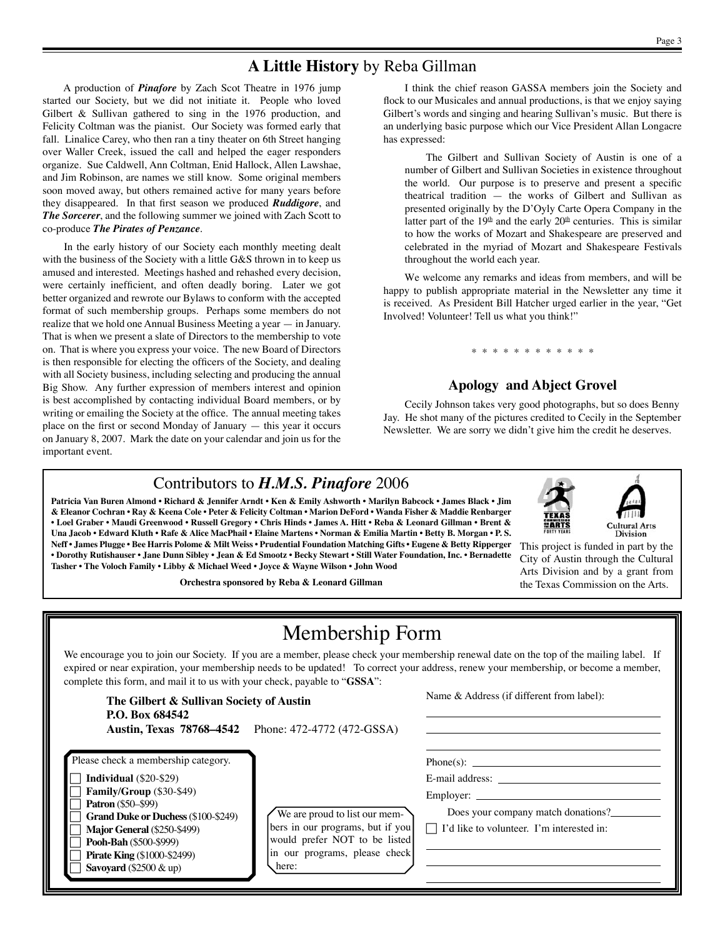# **A Little History** by Reba Gillman

A production of *Pinafore* by Zach Scot Theatre in 1976 jump started our Society, but we did not initiate it. People who loved Gilbert & Sullivan gathered to sing in the 1976 production, and Felicity Coltman was the pianist. Our Society was formed early that fall. Linalice Carey, who then ran a tiny theater on 6th Street hanging over Waller Creek, issued the call and helped the eager responders organize. Sue Caldwell, Ann Coltman, Enid Hallock, Allen Lawshae, and Jim Robinson, are names we still know. Some original members soon moved away, but others remained active for many years before they disappeared. In that first season we produced *Ruddigore*, and *The Sorcerer*, and the following summer we joined with Zach Scott to co-produce *The Pirates of Penzance*.

In the early history of our Society each monthly meeting dealt with the business of the Society with a little G&S thrown in to keep us amused and interested. Meetings hashed and rehashed every decision, were certainly inefficient, and often deadly boring. Later we got better organized and rewrote our Bylaws to conform with the accepted format of such membership groups. Perhaps some members do not realize that we hold one Annual Business Meeting a year — in January. That is when we present a slate of Directors to the membership to vote on. That is where you express your voice. The new Board of Directors is then responsible for electing the officers of the Society, and dealing with all Society business, including selecting and producing the annual Big Show. Any further expression of members interest and opinion is best accomplished by contacting individual Board members, or by writing or emailing the Society at the office. The annual meeting takes place on the first or second Monday of January — this year it occurs on January 8, 2007. Mark the date on your calendar and join us for the important event.

I think the chief reason GASSA members join the Society and flock to our Musicales and annual productions, is that we enjoy saying Gilbert's words and singing and hearing Sullivan's music. But there is an underlying basic purpose which our Vice President Allan Longacre has expressed:

The Gilbert and Sullivan Society of Austin is one of a number of Gilbert and Sullivan Societies in existence throughout the world. Our purpose is to preserve and present a specific theatrical tradition — the works of Gilbert and Sullivan as presented originally by the D'Oyly Carte Opera Company in the latter part of the  $19<sup>th</sup>$  and the early  $20<sup>th</sup>$  centuries. This is similar to how the works of Mozart and Shakespeare are preserved and celebrated in the myriad of Mozart and Shakespeare Festivals throughout the world each year.

We welcome any remarks and ideas from members, and will be happy to publish appropriate material in the Newsletter any time it is received. As President Bill Hatcher urged earlier in the year, "Get Involved! Volunteer! Tell us what you think!"

# **Apology and Abject Grovel**

\* \* \* \* \* \* \* \* \* \* \* \*

Cecily Johnson takes very good photographs, but so does Benny Jay. He shot many of the pictures credited to Cecily in the September Newsletter. We are sorry we didn't give him the credit he deserves.

## Contributors to *H.M.S. Pinafore* 2006

**Patricia Van Buren Almond • Richard & Jennifer Arndt • Ken & Emily Ashworth • Marilyn Babcock • James Black • Jim & Eleanor Cochran • Ray & Keena Cole • Peter & Felicity Coltman • Marion DeFord • Wanda Fisher & Maddie Renbarger • Loel Graber • Maudi Greenwood • Russell Gregory • Chris Hinds • James A. Hitt • Reba & Leonard Gillman • Brent & Una Jacob • Edward Kluth • Rafe & Alice MacPhail • Elaine Martens • Norman & Emilia Martin • Betty B. Morgan • P. S. Neff • James Plugge • Bee Harris Polome & Milt Weiss • Prudential Foundation Matching Gifts • Eugene & Betty Ripperger • Dorothy Rutishauser • Jane Dunn Sibley • Jean & Ed Smootz • Becky Stewart • Still Water Foundation, Inc. • Bernadette Tasher • The Voloch Family • Libby & Michael Weed • Joyce & Wayne Wilson • John Wood**

**Orchestra sponsored by Reba & Leonard Gillman**



This project is funded in part by the City of Austin through the Cultural Arts Division and by a grant from the Texas Commission on the Arts.

# Membership Form

We encourage you to join our Society. If you are a member, please check your membership renewal date on the top of the mailing label. If expired or near expiration, your membership needs to be updated! To correct your address, renew your membership, or become a member, complete this form, and mail it to us with your check, payable to "**GSSA**":

| The Gilbert & Sullivan Society of Austin<br>P.O. Box 684542<br><b>Austin, Texas 78768–4542</b>                                                                                                                                                                                                                   | Phone: 472-4772 (472-GSSA)                                                                                                                   | Name & Address (if different from label):                                                                                              |
|------------------------------------------------------------------------------------------------------------------------------------------------------------------------------------------------------------------------------------------------------------------------------------------------------------------|----------------------------------------------------------------------------------------------------------------------------------------------|----------------------------------------------------------------------------------------------------------------------------------------|
| Please check a membership category.<br><b>Individual</b> $(\$20-\$29)$<br>Family/Group (\$30-\$49)<br><b>Patron</b> (\$50–\$99)<br><b>Grand Duke or Duchess (\$100-\$249)</b><br><b>Major General (\$250-\$499)</b><br>Pooh-Bah (\$500-\$999)<br><b>Pirate King (\$1000-\$2499)</b><br>Savoyard $(\$2500 \& up)$ | We are proud to list our mem-<br>bers in our programs, but if you<br>would prefer NOT to be listed<br>in our programs, please check<br>here: | $Phone(s)$ :<br>E-mail address:<br>Employer:<br>Does your company match donations?<br>$\Box$ I'd like to volunteer. I'm interested in: |